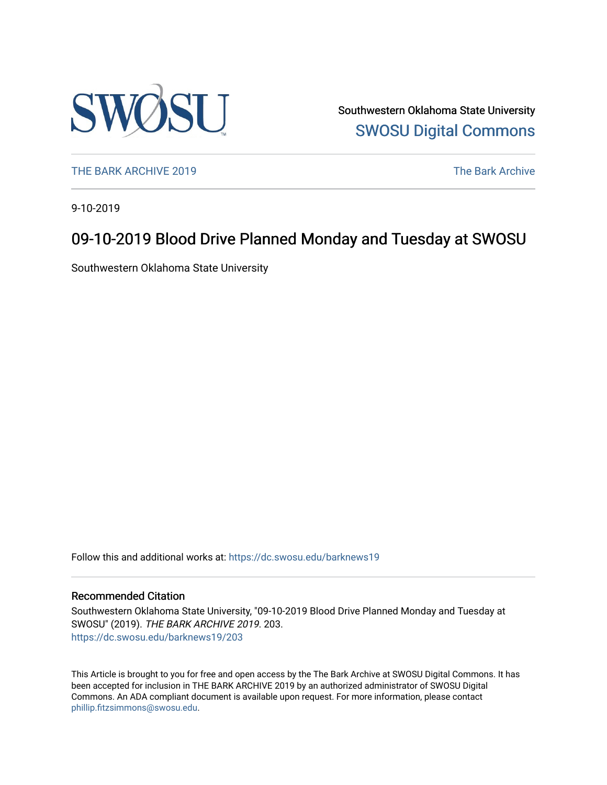

Southwestern Oklahoma State University [SWOSU Digital Commons](https://dc.swosu.edu/) 

[THE BARK ARCHIVE 2019](https://dc.swosu.edu/barknews19) The Bark Archive

9-10-2019

## 09-10-2019 Blood Drive Planned Monday and Tuesday at SWOSU

Southwestern Oklahoma State University

Follow this and additional works at: [https://dc.swosu.edu/barknews19](https://dc.swosu.edu/barknews19?utm_source=dc.swosu.edu%2Fbarknews19%2F203&utm_medium=PDF&utm_campaign=PDFCoverPages)

#### Recommended Citation

Southwestern Oklahoma State University, "09-10-2019 Blood Drive Planned Monday and Tuesday at SWOSU" (2019). THE BARK ARCHIVE 2019. 203. [https://dc.swosu.edu/barknews19/203](https://dc.swosu.edu/barknews19/203?utm_source=dc.swosu.edu%2Fbarknews19%2F203&utm_medium=PDF&utm_campaign=PDFCoverPages)

This Article is brought to you for free and open access by the The Bark Archive at SWOSU Digital Commons. It has been accepted for inclusion in THE BARK ARCHIVE 2019 by an authorized administrator of SWOSU Digital Commons. An ADA compliant document is available upon request. For more information, please contact [phillip.fitzsimmons@swosu.edu](mailto:phillip.fitzsimmons@swosu.edu).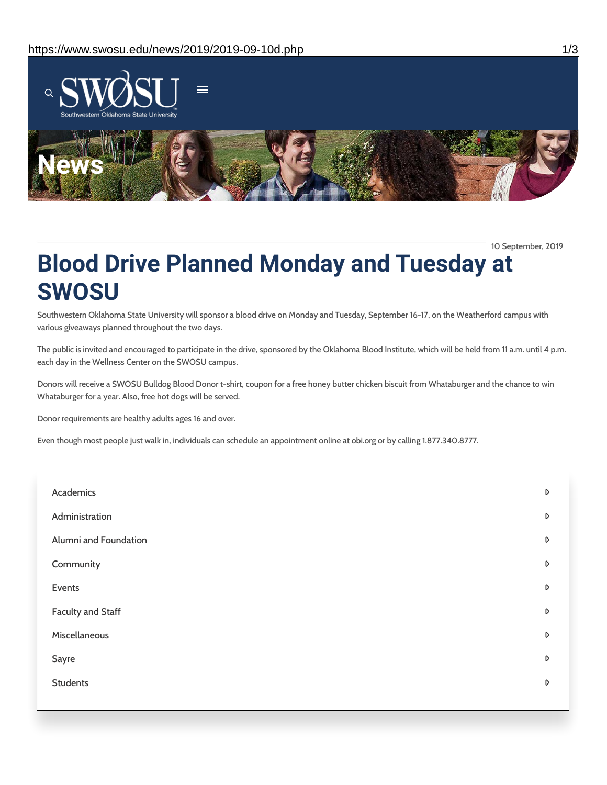

10 September, 2019

# **Blood Drive Planned Monday and Tuesday at SWOSU**

Southwestern Oklahoma State University will sponsor a blood drive on Monday and Tuesday, September 16-17, on the Weatherford campus with various giveaways planned throughout the two days.

The public is invited and encouraged to participate in the drive, sponsored by the Oklahoma Blood Institute, which will be held from 11 a.m. until 4 p.m. each day in the Wellness Center on the SWOSU campus.

Donors will receive a SWOSU Bulldog Blood Donor t-shirt, coupon for a free honey butter chicken biscuit from Whataburger and the chance to win Whataburger for a year. Also, free hot dogs will be served.

Donor requirements are healthy adults ages 16 and over.

Even though most people just walk in, individuals can schedule an appointment online at obi.org or by calling 1.877.340.8777.

| Academics             | D                |
|-----------------------|------------------|
| Administration        | D                |
| Alumni and Foundation | D                |
| Community             | D                |
| Events                | $\triangleright$ |
| Faculty and Staff     | D                |
| Miscellaneous         | $\triangleright$ |
| Sayre                 | D                |
| <b>Students</b>       | D                |
|                       |                  |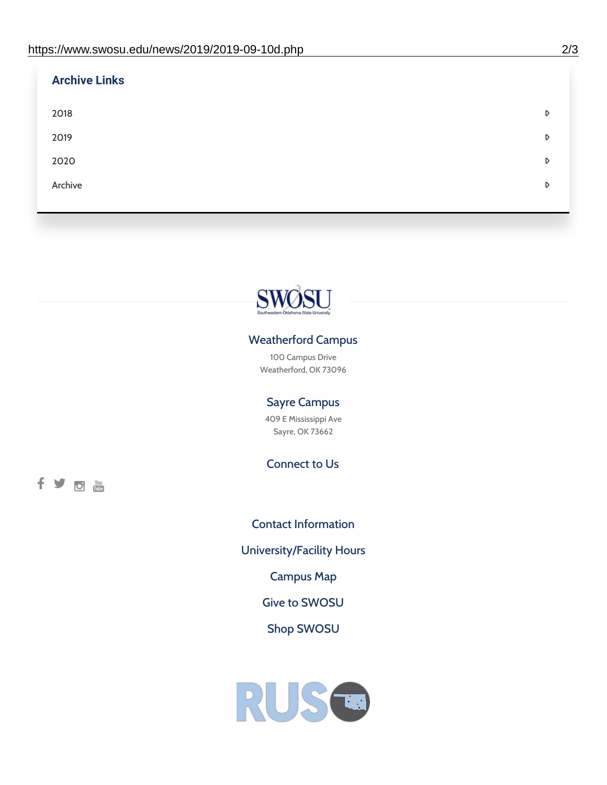fyom

| <b>Archive Links</b> |   |
|----------------------|---|
| 2018                 | D |
| 2019                 | D |
| 2020                 | D |
| Archive              | D |
|                      |   |



### Weatherford Campus

100 Campus Drive Weatherford, OK 73096

### Sayre Campus

409 E Mississippi Ave Sayre, OK 73662

Connect to Us

Contact [Information](https://www.swosu.edu/about/contact.php) [University/Facility](https://www.swosu.edu/about/operating-hours.php) Hours [Campus](https://map.concept3d.com/?id=768#!ct/10964,10214,10213,10212,10205,10204,10203,10202,10136,10129,10128,0,31226,10130,10201,10641,0) Map Give to [SWOSU](https://standingfirmly.com/donate) Shop [SWOSU](https://shopswosu.merchorders.com/)